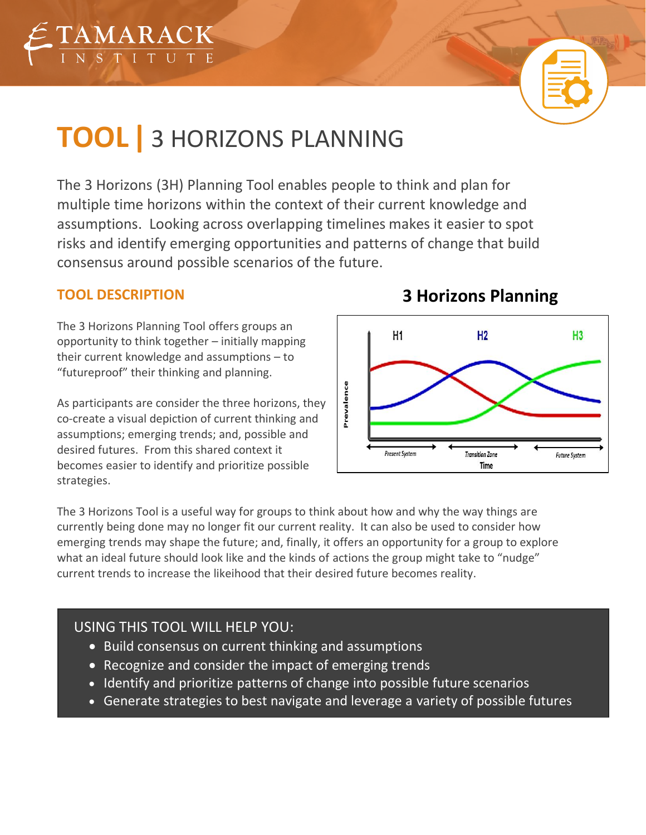

# **TOOL|** 3 HORIZONS PLANNING

The 3 Horizons (3H) Planning Tool enables people to think and plan for multiple time horizons within the context of their current knowledge and assumptions. Looking across overlapping timelines makes it easier to spot risks and identify emerging opportunities and patterns of change that build consensus around possible scenarios of the future.

#### **TOOL DESCRIPTION**

The 3 Horizons Planning Tool offers groups an opportunity to think together – initially mapping their current knowledge and assumptions – to "futureproof" their thinking and planning.

As participants are consider the three horizons, they co-create a visual depiction of current thinking and assumptions; emerging trends; and, possible and desired futures. From this shared context it becomes easier to identify and prioritize possible strategies.

# **3 Horizons Planning**



The 3 Horizons Tool is a useful way for groups to think about how and why the way things are currently being done may no longer fit our current reality. It can also be used to consider how emerging trends may shape the future; and, finally, it offers an opportunity for a group to explore what an ideal future should look like and the kinds of actions the group might take to "nudge" current trends to increase the likeihood that their desired future becomes reality.

## USING THIS TOOL WILL HELP YOU:

- Build consensus on current thinking and assumptions
- Recognize and consider the impact of emerging trends
- Identify and prioritize patterns of change into possible future scenarios
- Generate strategies to best navigate and leverage a variety of possible futures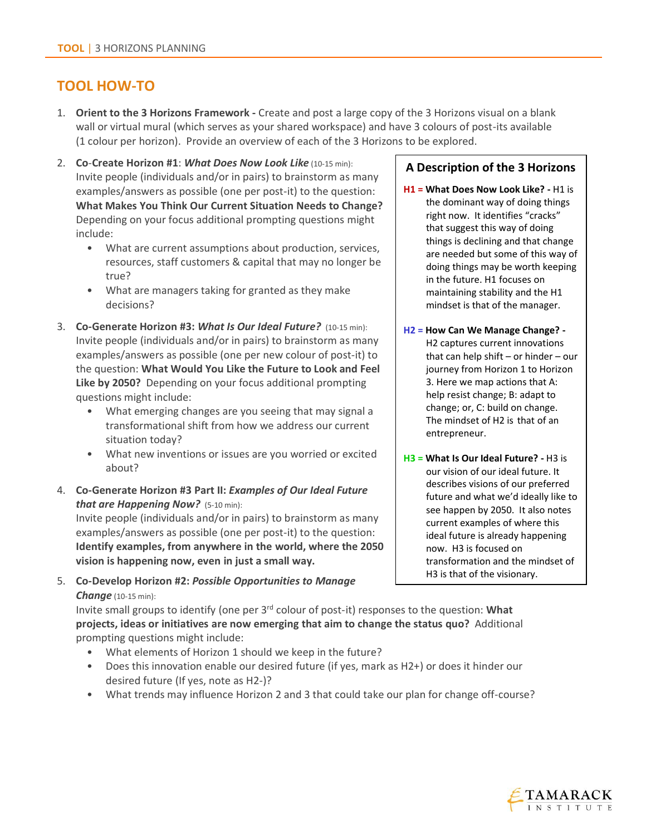### **TOOL HOW-TO**

- 1. **Orient to the 3 Horizons Framework -** Create and post a large copy of the 3 Horizons visual on a blank wall or virtual mural (which serves as your shared workspace) and have 3 colours of post-its available (1 colour per horizon). Provide an overview of each of the 3 Horizons to be explored.
- 2. **Co**-**Create Horizon #1**: *What Does Now Look Like* (10-15 min): Invite people (individuals and/or in pairs) to brainstorm as many examples/answers as possible (one per post-it) to the question: **What Makes You Think Our Current Situation Needs to Change?**  Depending on your focus additional prompting questions might include:
	- What are current assumptions about production, services, resources, staff customers & capital that may no longer be true?
	- What are managers taking for granted as they make decisions?
- 3. **Co-Generate Horizon #3:** *What Is Our Ideal Future?* (10-15 min): Invite people (individuals and/or in pairs) to brainstorm as many examples/answers as possible (one per new colour of post-it) to the question: **What Would You Like the Future to Look and Feel Like by 2050?** Depending on your focus additional prompting questions might include:
	- What emerging changes are you seeing that may signal a transformational shift from how we address our current situation today?
	- What new inventions or issues are you worried or excited about?
- 4. **Co-Generate Horizon #3 Part II:** *Examples of Our Ideal Future that are Happening Now?* (5-10 min):

Invite people (individuals and/or in pairs) to brainstorm as many examples/answers as possible (one per post-it) to the question: **Identify examples, from anywhere in the world, where the 2050 vision is happening now, even in just a small way.**

5. **Co-Develop Horizon #2:** *Possible Opportunities to Manage Change* (10-15 min):

Invite small groups to identify (one per 3<sup>rd</sup> colour of post-it) responses to the question: What **projects, ideas or initiatives are now emerging that aim to change the status quo?** Additional prompting questions might include:

- What elements of Horizon 1 should we keep in the future?
- Does this innovation enable our desired future (if yes, mark as H2+) or does it hinder our desired future (If yes, note as H2-)?
- What trends may influence Horizon 2 and 3 that could take our plan for change off-course?

#### **A Description of the 3 Horizons**

- **H1 = What Does Now Look Like? -** H1 is the dominant way of doing things right now. It identifies "cracks" that suggest this way of doing things is declining and that change are needed but some of this way of doing things may be worth keeping in the future. H1 focuses on maintaining stability and the H1 mindset is that of the manager.
- **H2 = How Can We Manage Change? -** H2 captures current innovations that can help shift – or hinder – our journey from Horizon 1 to Horizon 3. Here we map actions that A: help resist change; B: adapt to change; or, C: build on change. The mindset of H2 is that of an entrepreneur.
- **H3 = What Is Our Ideal Future? -** H3 is our vision of our ideal future. It describes visions of our preferred future and what we'd ideally like to see happen by 2050. It also notes current examples of where this ideal future is already happening now. H3 is focused on transformation and the mindset of H3 is that of the visionary.

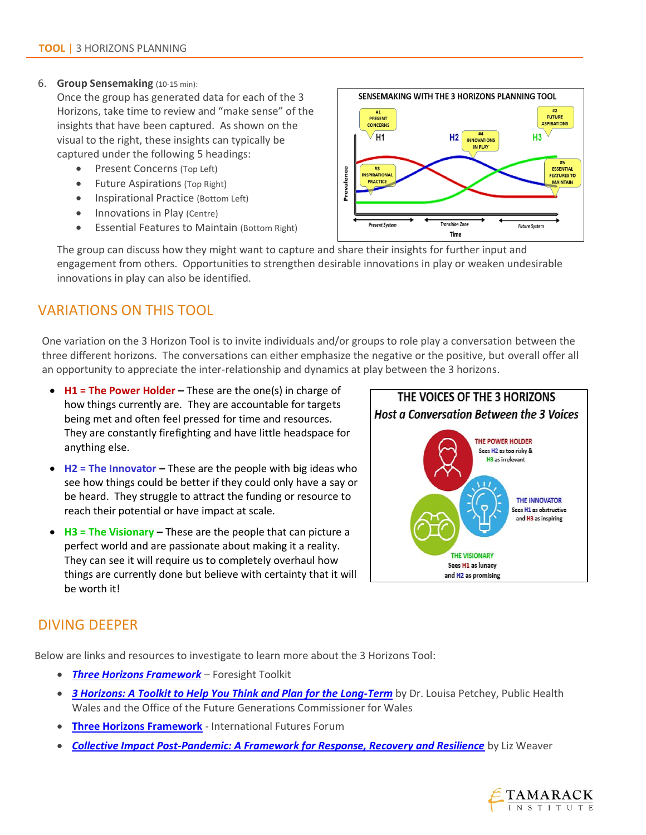6. **Group Sensemaking** (10-15 min):

Once the group has generated data for each of the 3 Horizons, take time to review and "make sense" of the insights that have been captured. As shown on the visual to the right, these insights can typically be captured under the following 5 headings:

- Present Concerns (Top Left)
- Future Aspirations (Top Right)
- Inspirational Practice (Bottom Left)
- Innovations in Play (Centre)
- Essential Features to Maintain (Bottom Right)

The group can discuss how they might want to capture and share their insights for further input and engagement from others. Opportunities to strengthen desirable innovations in play or weaken undesirable innovations in play can also be identified.

#### VARIATIONS ON THIS TOOL

One variation on the 3 Horizon Tool is to invite individuals and/or groups to role play a conversation between the three different horizons. The conversations can either emphasize the negative or the positive, but overall offer all an opportunity to appreciate the inter-relationship and dynamics at play between the 3 horizons.

- **H1 = The Power Holder –** These are the one(s) in charge of how things currently are. They are accountable for targets being met and often feel pressed for time and resources. They are constantly firefighting and have little headspace for anything else.
- **H2 = The Innovator –** These are the people with big ideas who see how things could be better if they could only have a say or be heard. They struggle to attract the funding or resource to reach their potential or have impact at scale.
- **H3 = The Visionary –** These are the people that can picture a perfect world and are passionate about making it a reality. They can see it will require us to completely overhaul how things are currently done but believe with certainty that it will be worth it!



### DIVING DEEPER

Below are links and resources to investigate to learn more about the 3 Horizons Tool:

- *[Three Horizons Framework](http://training.itcilo.org/delta/Foresight/3-Horizons.pdf)* Foresight Toolkit
- *[3 Horizons: A Toolkit to Help You Think and Plan for the Long-Term](https://phw.nhs.wales/news/future-proof-your-planning-with-easy-to-use-tool/three-horizons-toolkit/three-horizons-toolkit/)* by Dr. Louisa Petchey, Public Health Wales and the Office of the Future Generations Commissioner for Wales
- **[Three Horizons Framework](https://www.iffpraxis.com/three-horizons)** International Futures Forum
- *[Collective Impact Post-Pandemic: A Framework for Response, Recovery and Resilience](https://www.tamarackcommunity.ca/library/paper-collective-impact-post-pandemic)* by Liz Weaver